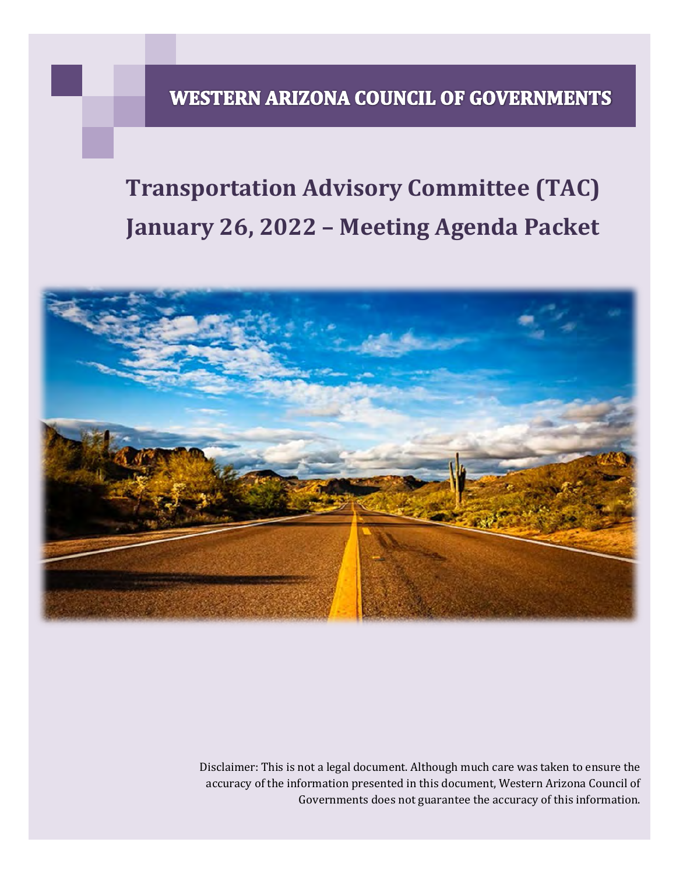# **WESTERN ARIZONA COUNCIL OF GOVERNMENTS**

# **Transportation Advisory Committee (TAC) January 26, 2022 – Meeting Agenda Packet**



Disclaimer: This is not a legal document. Although much care was taken to ensure the accuracy of the information presented in this document, Western Arizona Council of Governments does not guarantee the accuracy of this information.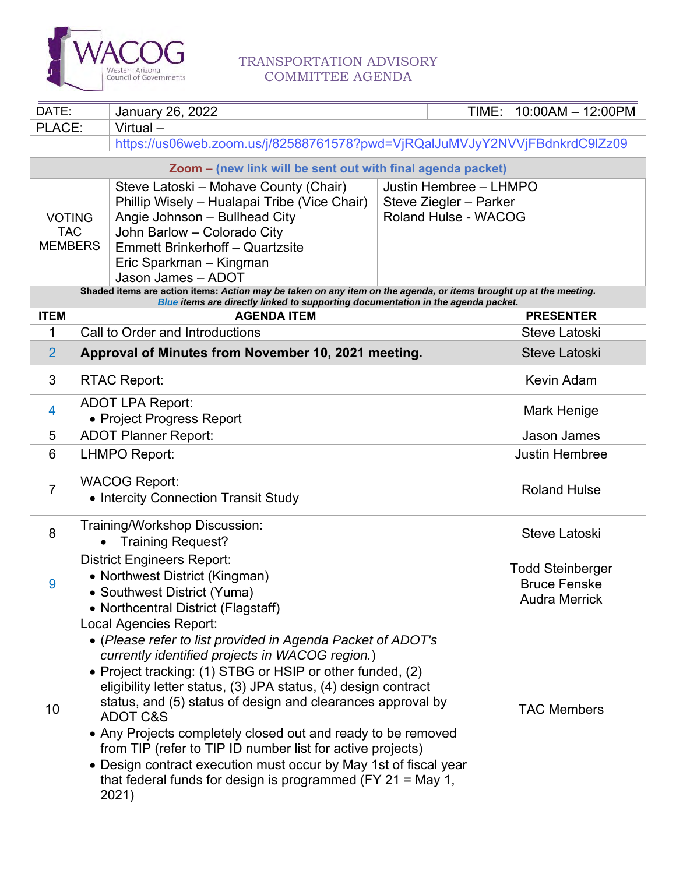

### TRANSPORTATION ADVISORY COMMITTEE AGENDA

| DATE:                                         |                                                                                                                                                                                                                                                  | <b>January 26, 2022</b>                                                                                                                                                                                                                                                                                                                                                                                                                                                                                                                                                       |             | TIME:                | $10:00AM - 12:00PM$                                                    |  |  |  |
|-----------------------------------------------|--------------------------------------------------------------------------------------------------------------------------------------------------------------------------------------------------------------------------------------------------|-------------------------------------------------------------------------------------------------------------------------------------------------------------------------------------------------------------------------------------------------------------------------------------------------------------------------------------------------------------------------------------------------------------------------------------------------------------------------------------------------------------------------------------------------------------------------------|-------------|----------------------|------------------------------------------------------------------------|--|--|--|
| PLACE:                                        | Virtual-                                                                                                                                                                                                                                         |                                                                                                                                                                                                                                                                                                                                                                                                                                                                                                                                                                               |             |                      |                                                                        |  |  |  |
|                                               |                                                                                                                                                                                                                                                  | https://us06web.zoom.us/j/82588761578?pwd=VjRQalJuMVJyY2NVVjFBdnkrdC9lZz09                                                                                                                                                                                                                                                                                                                                                                                                                                                                                                    |             |                      |                                                                        |  |  |  |
|                                               |                                                                                                                                                                                                                                                  | Zoom - (new link will be sent out with final agenda packet)                                                                                                                                                                                                                                                                                                                                                                                                                                                                                                                   |             |                      |                                                                        |  |  |  |
| <b>VOTING</b><br><b>TAC</b><br><b>MEMBERS</b> | Steve Latoski – Mohave County (Chair)<br>Phillip Wisely - Hualapai Tribe (Vice Chair)<br>Angie Johnson - Bullhead City<br>John Barlow - Colorado City<br><b>Emmett Brinkerhoff - Quartzsite</b><br>Eric Sparkman - Kingman<br>Jason James - ADOT | Justin Hembree - LHMPO<br>Steve Ziegler - Parker<br><b>Roland Hulse - WACOG</b>                                                                                                                                                                                                                                                                                                                                                                                                                                                                                               |             |                      |                                                                        |  |  |  |
|                                               |                                                                                                                                                                                                                                                  | Shaded items are action items: Action may be taken on any item on the agenda, or items brought up at the meeting.<br>Blue items are directly linked to supporting documentation in the agenda packet.                                                                                                                                                                                                                                                                                                                                                                         |             |                      |                                                                        |  |  |  |
| <b>ITEM</b>                                   |                                                                                                                                                                                                                                                  | <b>AGENDA ITEM</b>                                                                                                                                                                                                                                                                                                                                                                                                                                                                                                                                                            |             |                      | <b>PRESENTER</b>                                                       |  |  |  |
| 1                                             |                                                                                                                                                                                                                                                  | Call to Order and Introductions                                                                                                                                                                                                                                                                                                                                                                                                                                                                                                                                               |             |                      | Steve Latoski                                                          |  |  |  |
| $\overline{2}$                                |                                                                                                                                                                                                                                                  | Approval of Minutes from November 10, 2021 meeting.                                                                                                                                                                                                                                                                                                                                                                                                                                                                                                                           |             |                      | <b>Steve Latoski</b>                                                   |  |  |  |
| 3                                             | <b>RTAC Report:</b>                                                                                                                                                                                                                              |                                                                                                                                                                                                                                                                                                                                                                                                                                                                                                                                                                               |             |                      | <b>Kevin Adam</b>                                                      |  |  |  |
| 4                                             | <b>ADOT LPA Report:</b>                                                                                                                                                                                                                          | • Project Progress Report                                                                                                                                                                                                                                                                                                                                                                                                                                                                                                                                                     | Mark Henige |                      |                                                                        |  |  |  |
| 5                                             | <b>ADOT Planner Report:</b>                                                                                                                                                                                                                      |                                                                                                                                                                                                                                                                                                                                                                                                                                                                                                                                                                               |             |                      | <b>Jason James</b>                                                     |  |  |  |
| 6                                             | <b>LHMPO Report:</b>                                                                                                                                                                                                                             |                                                                                                                                                                                                                                                                                                                                                                                                                                                                                                                                                                               |             |                      | <b>Justin Hembree</b>                                                  |  |  |  |
| $\overline{7}$                                | <b>WACOG Report:</b>                                                                                                                                                                                                                             | • Intercity Connection Transit Study                                                                                                                                                                                                                                                                                                                                                                                                                                                                                                                                          |             | <b>Roland Hulse</b>  |                                                                        |  |  |  |
| 8                                             |                                                                                                                                                                                                                                                  | Training/Workshop Discussion:<br><b>Training Request?</b>                                                                                                                                                                                                                                                                                                                                                                                                                                                                                                                     |             | <b>Steve Latoski</b> |                                                                        |  |  |  |
| 9                                             |                                                                                                                                                                                                                                                  | <b>District Engineers Report:</b><br>• Northwest District (Kingman)<br>• Southwest District (Yuma)<br>• Northcentral District (Flagstaff)                                                                                                                                                                                                                                                                                                                                                                                                                                     |             |                      | <b>Todd Steinberger</b><br><b>Bruce Fenske</b><br><b>Audra Merrick</b> |  |  |  |
| 10                                            | <b>Local Agencies Report:</b><br><b>ADOT C&amp;S</b><br>2021)                                                                                                                                                                                    | • (Please refer to list provided in Agenda Packet of ADOT's<br>currently identified projects in WACOG region.)<br>• Project tracking: (1) STBG or HSIP or other funded, (2)<br>eligibility letter status, (3) JPA status, (4) design contract<br>status, and (5) status of design and clearances approval by<br>• Any Projects completely closed out and ready to be removed<br>from TIP (refer to TIP ID number list for active projects)<br>• Design contract execution must occur by May 1st of fiscal year<br>that federal funds for design is programmed (FY 21 = May 1, |             |                      | <b>TAC Members</b>                                                     |  |  |  |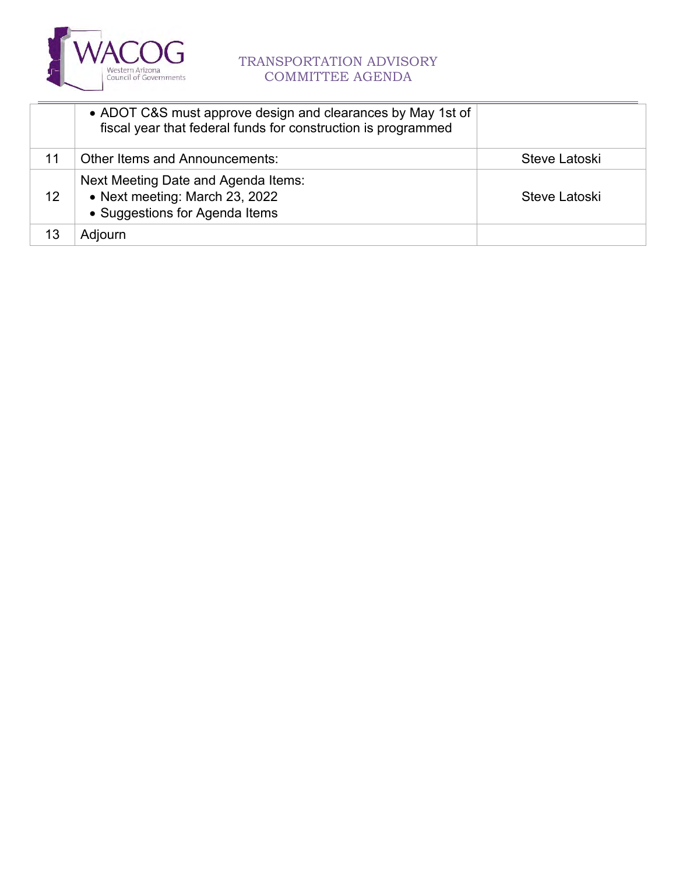

## TRANSPORTATION ADVISORY COMMITTEE AGENDA

|    | • ADOT C&S must approve design and clearances by May 1st of<br>fiscal year that federal funds for construction is programmed |               |
|----|------------------------------------------------------------------------------------------------------------------------------|---------------|
| 11 | Other Items and Announcements:                                                                                               | Steve Latoski |
| 12 | Next Meeting Date and Agenda Items:<br>• Next meeting: March 23, 2022<br>• Suggestions for Agenda Items                      | Steve Latoski |
|    | Adjourn                                                                                                                      |               |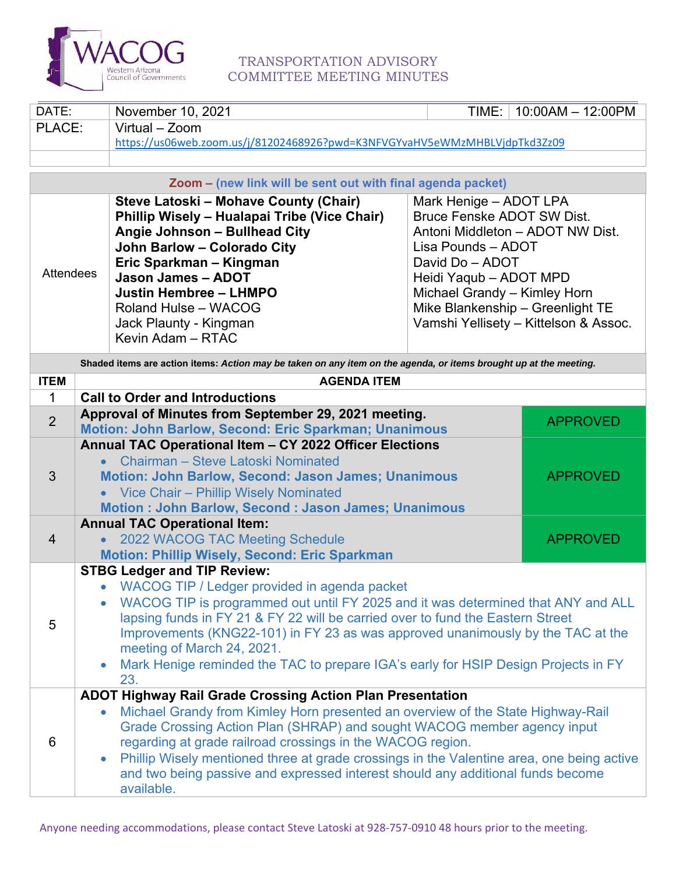<span id="page-3-0"></span>

### TRANSPORTATION ADVISORY COMMITTEE MEETING MINUTES

| DATE:            |                                                                                                                                                                         | November 10, 2021                                                                                                 | TIME:                             | $10:00AM - 12:00PM$                   |  |  |  |  |  |  |  |
|------------------|-------------------------------------------------------------------------------------------------------------------------------------------------------------------------|-------------------------------------------------------------------------------------------------------------------|-----------------------------------|---------------------------------------|--|--|--|--|--|--|--|
| PLACE:           |                                                                                                                                                                         | Virtual - Zoom                                                                                                    |                                   |                                       |  |  |  |  |  |  |  |
|                  |                                                                                                                                                                         | https://us06web.zoom.us/j/81202468926?pwd=K3NFVGYvaHV5eWMzMHBLVjdpTkd3Zz09                                        |                                   |                                       |  |  |  |  |  |  |  |
|                  |                                                                                                                                                                         |                                                                                                                   |                                   |                                       |  |  |  |  |  |  |  |
|                  |                                                                                                                                                                         | Zoom - (new link will be sent out with final agenda packet)                                                       |                                   |                                       |  |  |  |  |  |  |  |
|                  |                                                                                                                                                                         | Steve Latoski - Mohave County (Chair)                                                                             | Mark Henige - ADOT LPA            |                                       |  |  |  |  |  |  |  |
|                  |                                                                                                                                                                         | Phillip Wisely - Hualapai Tribe (Vice Chair)                                                                      | <b>Bruce Fenske ADOT SW Dist.</b> |                                       |  |  |  |  |  |  |  |
|                  |                                                                                                                                                                         | Angie Johnson - Bullhead City                                                                                     | Antoni Middleton - ADOT NW Dist.  |                                       |  |  |  |  |  |  |  |
|                  |                                                                                                                                                                         | John Barlow - Colorado City                                                                                       | Lisa Pounds - ADOT                |                                       |  |  |  |  |  |  |  |
| <b>Attendees</b> |                                                                                                                                                                         | Eric Sparkman - Kingman                                                                                           | David Do - ADOT                   |                                       |  |  |  |  |  |  |  |
|                  |                                                                                                                                                                         | Jason James - ADOT                                                                                                | Heidi Yaqub - ADOT MPD            |                                       |  |  |  |  |  |  |  |
|                  |                                                                                                                                                                         | <b>Justin Hembree - LHMPO</b>                                                                                     | Michael Grandy - Kimley Horn      |                                       |  |  |  |  |  |  |  |
|                  |                                                                                                                                                                         | Roland Hulse - WACOG                                                                                              |                                   | Mike Blankenship - Greenlight TE      |  |  |  |  |  |  |  |
|                  |                                                                                                                                                                         | Jack Plaunty - Kingman                                                                                            |                                   | Vamshi Yellisety - Kittelson & Assoc. |  |  |  |  |  |  |  |
|                  |                                                                                                                                                                         | Kevin Adam - RTAC                                                                                                 |                                   |                                       |  |  |  |  |  |  |  |
|                  |                                                                                                                                                                         | Shaded items are action items: Action may be taken on any item on the agenda, or items brought up at the meeting. |                                   |                                       |  |  |  |  |  |  |  |
| <b>ITEM</b>      |                                                                                                                                                                         | <b>AGENDA ITEM</b>                                                                                                |                                   |                                       |  |  |  |  |  |  |  |
| 1                |                                                                                                                                                                         | <b>Call to Order and Introductions</b>                                                                            |                                   |                                       |  |  |  |  |  |  |  |
| 2                |                                                                                                                                                                         | Approval of Minutes from September 29, 2021 meeting.                                                              |                                   | <b>APPROVED</b>                       |  |  |  |  |  |  |  |
|                  |                                                                                                                                                                         | Motion: John Barlow, Second: Eric Sparkman; Unanimous                                                             |                                   |                                       |  |  |  |  |  |  |  |
|                  |                                                                                                                                                                         | Annual TAC Operational Item - CY 2022 Officer Elections                                                           |                                   |                                       |  |  |  |  |  |  |  |
| 3                |                                                                                                                                                                         | Chairman – Steve Latoski Nominated                                                                                |                                   | <b>APPROVED</b>                       |  |  |  |  |  |  |  |
|                  |                                                                                                                                                                         | Motion: John Barlow, Second: Jason James; Unanimous                                                               |                                   |                                       |  |  |  |  |  |  |  |
|                  |                                                                                                                                                                         | Vice Chair - Phillip Wisely Nominated<br>Motion : John Barlow, Second : Jason James; Unanimous                    |                                   |                                       |  |  |  |  |  |  |  |
|                  |                                                                                                                                                                         | <b>Annual TAC Operational Item:</b>                                                                               |                                   |                                       |  |  |  |  |  |  |  |
| $\overline{4}$   |                                                                                                                                                                         | 2022 WACOG TAC Meeting Schedule                                                                                   |                                   | <b>APPROVED</b>                       |  |  |  |  |  |  |  |
|                  |                                                                                                                                                                         | Motion: Phillip Wisely, Second: Eric Sparkman                                                                     |                                   |                                       |  |  |  |  |  |  |  |
|                  |                                                                                                                                                                         | <b>STBG Ledger and TIP Review:</b>                                                                                |                                   |                                       |  |  |  |  |  |  |  |
|                  |                                                                                                                                                                         | • WACOG TIP / Ledger provided in agenda packet                                                                    |                                   |                                       |  |  |  |  |  |  |  |
|                  |                                                                                                                                                                         | WACOG TIP is programmed out until FY 2025 and it was determined that ANY and ALL                                  |                                   |                                       |  |  |  |  |  |  |  |
| 5                |                                                                                                                                                                         | lapsing funds in FY 21 & FY 22 will be carried over to fund the Eastern Street                                    |                                   |                                       |  |  |  |  |  |  |  |
|                  |                                                                                                                                                                         | Improvements (KNG22-101) in FY 23 as was approved unanimously by the TAC at the                                   |                                   |                                       |  |  |  |  |  |  |  |
|                  |                                                                                                                                                                         | meeting of March 24, 2021.                                                                                        |                                   |                                       |  |  |  |  |  |  |  |
|                  | Mark Henige reminded the TAC to prepare IGA's early for HSIP Design Projects in FY                                                                                      |                                                                                                                   |                                   |                                       |  |  |  |  |  |  |  |
|                  |                                                                                                                                                                         | 23.                                                                                                               |                                   |                                       |  |  |  |  |  |  |  |
|                  |                                                                                                                                                                         | ADOT Highway Rail Grade Crossing Action Plan Presentation                                                         |                                   |                                       |  |  |  |  |  |  |  |
|                  | Michael Grandy from Kimley Horn presented an overview of the State Highway-Rail<br>$\bullet$<br>Grade Crossing Action Plan (SHRAP) and sought WACOG member agency input |                                                                                                                   |                                   |                                       |  |  |  |  |  |  |  |
|                  |                                                                                                                                                                         |                                                                                                                   |                                   |                                       |  |  |  |  |  |  |  |
| 6                |                                                                                                                                                                         | regarding at grade railroad crossings in the WACOG region.                                                        |                                   |                                       |  |  |  |  |  |  |  |
|                  |                                                                                                                                                                         | Phillip Wisely mentioned three at grade crossings in the Valentine area, one being active                         |                                   |                                       |  |  |  |  |  |  |  |
|                  |                                                                                                                                                                         | and two being passive and expressed interest should any additional funds become<br>available.                     |                                   |                                       |  |  |  |  |  |  |  |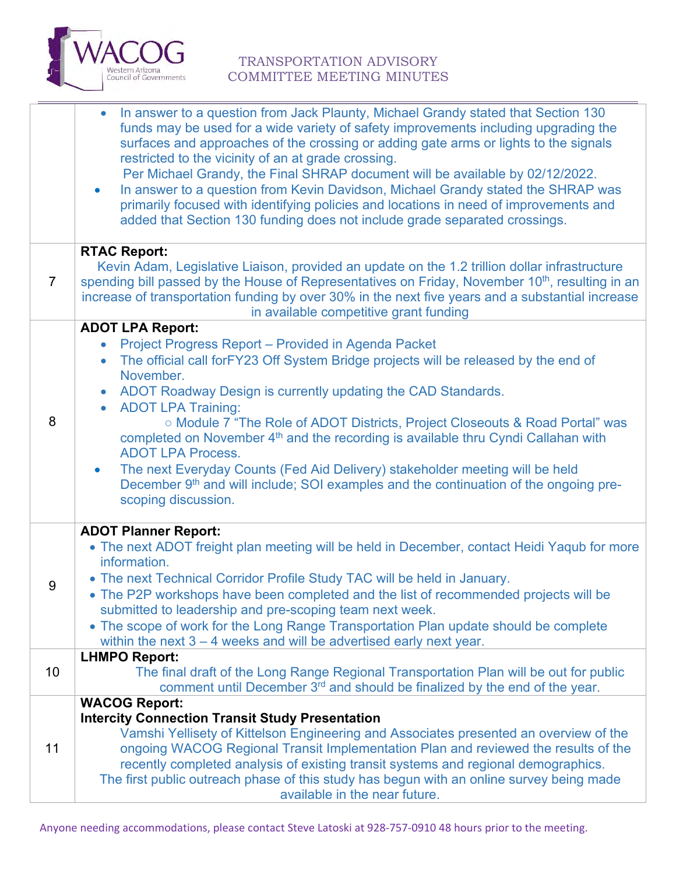

### TRANSPORTATION ADVISORY COMMITTEE MEETING MINUTES

|                | In answer to a question from Jack Plaunty, Michael Grandy stated that Section 130<br>funds may be used for a wide variety of safety improvements including upgrading the<br>surfaces and approaches of the crossing or adding gate arms or lights to the signals<br>restricted to the vicinity of an at grade crossing.<br>Per Michael Grandy, the Final SHRAP document will be available by 02/12/2022.<br>In answer to a question from Kevin Davidson, Michael Grandy stated the SHRAP was<br>$\bullet$<br>primarily focused with identifying policies and locations in need of improvements and<br>added that Section 130 funding does not include grade separated crossings. |
|----------------|----------------------------------------------------------------------------------------------------------------------------------------------------------------------------------------------------------------------------------------------------------------------------------------------------------------------------------------------------------------------------------------------------------------------------------------------------------------------------------------------------------------------------------------------------------------------------------------------------------------------------------------------------------------------------------|
|                | <b>RTAC Report:</b><br>Kevin Adam, Legislative Liaison, provided an update on the 1.2 trillion dollar infrastructure                                                                                                                                                                                                                                                                                                                                                                                                                                                                                                                                                             |
| $\overline{7}$ | spending bill passed by the House of Representatives on Friday, November 10 <sup>th</sup> , resulting in an<br>increase of transportation funding by over 30% in the next five years and a substantial increase<br>in available competitive grant funding                                                                                                                                                                                                                                                                                                                                                                                                                        |
|                | <b>ADOT LPA Report:</b>                                                                                                                                                                                                                                                                                                                                                                                                                                                                                                                                                                                                                                                          |
|                | Project Progress Report - Provided in Agenda Packet<br>The official call forFY23 Off System Bridge projects will be released by the end of<br>$\bullet$                                                                                                                                                                                                                                                                                                                                                                                                                                                                                                                          |
|                | November.                                                                                                                                                                                                                                                                                                                                                                                                                                                                                                                                                                                                                                                                        |
|                | ADOT Roadway Design is currently updating the CAD Standards.<br>$\bullet$<br><b>ADOT LPA Training:</b><br>$\bullet$                                                                                                                                                                                                                                                                                                                                                                                                                                                                                                                                                              |
| 8              | ○ Module 7 "The Role of ADOT Districts, Project Closeouts & Road Portal" was                                                                                                                                                                                                                                                                                                                                                                                                                                                                                                                                                                                                     |
|                | completed on November 4 <sup>th</sup> and the recording is available thru Cyndi Callahan with<br><b>ADOT LPA Process.</b>                                                                                                                                                                                                                                                                                                                                                                                                                                                                                                                                                        |
|                | The next Everyday Counts (Fed Aid Delivery) stakeholder meeting will be held<br>$\bullet$<br>December 9th and will include; SOI examples and the continuation of the ongoing pre-<br>scoping discussion.                                                                                                                                                                                                                                                                                                                                                                                                                                                                         |
|                | <b>ADOT Planner Report:</b>                                                                                                                                                                                                                                                                                                                                                                                                                                                                                                                                                                                                                                                      |
|                | • The next ADOT freight plan meeting will be held in December, contact Heidi Yaqub for more<br>information.                                                                                                                                                                                                                                                                                                                                                                                                                                                                                                                                                                      |
| 9              | • The next Technical Corridor Profile Study TAC will be held in January.                                                                                                                                                                                                                                                                                                                                                                                                                                                                                                                                                                                                         |
|                | • The P2P workshops have been completed and the list of recommended projects will be                                                                                                                                                                                                                                                                                                                                                                                                                                                                                                                                                                                             |
|                | submitted to leadership and pre-scoping team next week.<br>• The scope of work for the Long Range Transportation Plan update should be complete                                                                                                                                                                                                                                                                                                                                                                                                                                                                                                                                  |
|                | within the next $3 - 4$ weeks and will be advertised early next year.<br><b>LHMPO Report:</b>                                                                                                                                                                                                                                                                                                                                                                                                                                                                                                                                                                                    |
| 10             | The final draft of the Long Range Regional Transportation Plan will be out for public                                                                                                                                                                                                                                                                                                                                                                                                                                                                                                                                                                                            |
|                | comment until December 3 <sup>rd</sup> and should be finalized by the end of the year.<br><b>WACOG Report:</b>                                                                                                                                                                                                                                                                                                                                                                                                                                                                                                                                                                   |
|                | <b>Intercity Connection Transit Study Presentation</b>                                                                                                                                                                                                                                                                                                                                                                                                                                                                                                                                                                                                                           |
| 11             | Vamshi Yellisety of Kittelson Engineering and Associates presented an overview of the<br>ongoing WACOG Regional Transit Implementation Plan and reviewed the results of the                                                                                                                                                                                                                                                                                                                                                                                                                                                                                                      |
|                | recently completed analysis of existing transit systems and regional demographics.                                                                                                                                                                                                                                                                                                                                                                                                                                                                                                                                                                                               |
|                | The first public outreach phase of this study has begun with an online survey being made<br>available in the near future.                                                                                                                                                                                                                                                                                                                                                                                                                                                                                                                                                        |
|                |                                                                                                                                                                                                                                                                                                                                                                                                                                                                                                                                                                                                                                                                                  |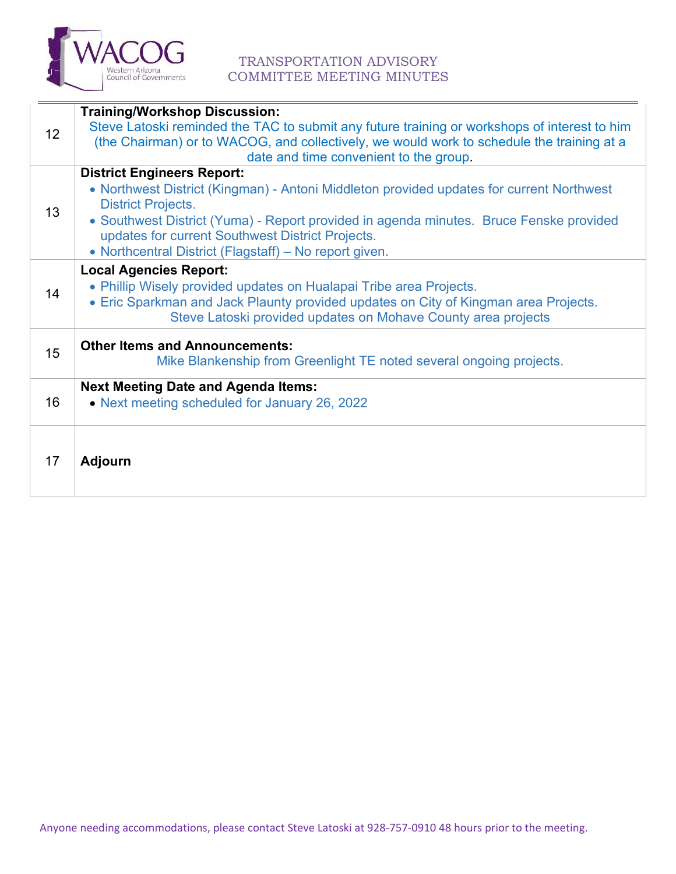

### TRANSPORTATION ADVISORY COMMITTEE MEETING MINUTES

| 12 <sup>2</sup> | <b>Training/Workshop Discussion:</b><br>Steve Latoski reminded the TAC to submit any future training or workshops of interest to him<br>(the Chairman) or to WACOG, and collectively, we would work to schedule the training at a<br>date and time convenient to the group.                                                                                        |
|-----------------|--------------------------------------------------------------------------------------------------------------------------------------------------------------------------------------------------------------------------------------------------------------------------------------------------------------------------------------------------------------------|
| 13              | <b>District Engineers Report:</b><br>• Northwest District (Kingman) - Antoni Middleton provided updates for current Northwest<br><b>District Projects.</b><br>• Southwest District (Yuma) - Report provided in agenda minutes. Bruce Fenske provided<br>updates for current Southwest District Projects.<br>• Northcentral District (Flagstaff) - No report given. |
| 14              | <b>Local Agencies Report:</b><br>• Phillip Wisely provided updates on Hualapai Tribe area Projects.<br>• Eric Sparkman and Jack Plaunty provided updates on City of Kingman area Projects.<br>Steve Latoski provided updates on Mohave County area projects                                                                                                        |
| 15              | <b>Other Items and Announcements:</b><br>Mike Blankenship from Greenlight TE noted several ongoing projects.                                                                                                                                                                                                                                                       |
| 16              | <b>Next Meeting Date and Agenda Items:</b><br>• Next meeting scheduled for January 26, 2022                                                                                                                                                                                                                                                                        |
| 17              | <b>Adjourn</b>                                                                                                                                                                                                                                                                                                                                                     |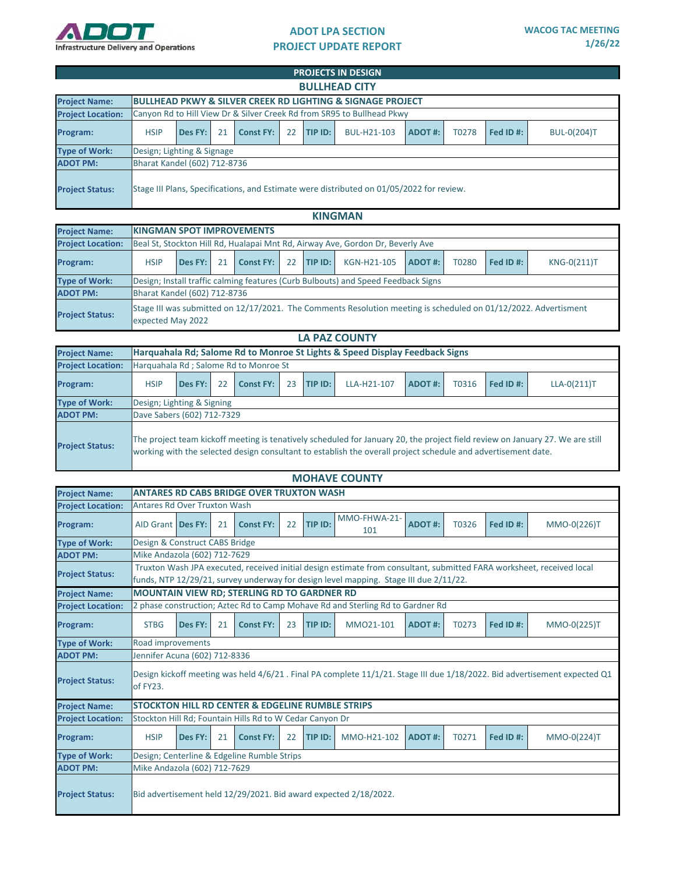<span id="page-6-0"></span>

#### **ADOT LPA SECTION PROJECT UPDATE REPORT**

|                          |                                                            |                                                                                                                        |  |  |  |  | <b>PROJECTS IN DESIGN</b>                                                                |  |  |  |  |  |  |  |  |
|--------------------------|------------------------------------------------------------|------------------------------------------------------------------------------------------------------------------------|--|--|--|--|------------------------------------------------------------------------------------------|--|--|--|--|--|--|--|--|
|                          | <b>BULLHEAD CITY</b>                                       |                                                                                                                        |  |  |  |  |                                                                                          |  |  |  |  |  |  |  |  |
| <b>Project Name:</b>     | BULLHEAD PKWY & SILVER CREEK RD LIGHTING & SIGNAGE PROJECT |                                                                                                                        |  |  |  |  |                                                                                          |  |  |  |  |  |  |  |  |
| <b>Project Location:</b> |                                                            | Canyon Rd to Hill View Dr & Silver Creek Rd from SR95 to Bullhead Pkwy                                                 |  |  |  |  |                                                                                          |  |  |  |  |  |  |  |  |
| Program:                 | <b>HSIP</b>                                                | TIP ID:<br>Fed ID#:<br>BUL-H21-103<br>ADOT#:<br>T0278<br><b>BUL-0(204)T</b><br>21<br><b>Const FY:</b><br>22<br>Des FY: |  |  |  |  |                                                                                          |  |  |  |  |  |  |  |  |
| <b>Type of Work:</b>     | Design; Lighting & Signage                                 |                                                                                                                        |  |  |  |  |                                                                                          |  |  |  |  |  |  |  |  |
| <b>ADOT PM:</b>          | Bharat Kandel (602) 712-8736                               |                                                                                                                        |  |  |  |  |                                                                                          |  |  |  |  |  |  |  |  |
| <b>Project Status:</b>   |                                                            |                                                                                                                        |  |  |  |  | Stage III Plans, Specifications, and Estimate were distributed on 01/05/2022 for review. |  |  |  |  |  |  |  |  |

#### **KINGMAN**

| <b>Project Name:</b>     |                              | <b>KINGMAN SPOT IMPROVEMENTS</b>                                                                                |  |  |  |  |                                                                                                                 |  |  |  |  |  |  |  |
|--------------------------|------------------------------|-----------------------------------------------------------------------------------------------------------------|--|--|--|--|-----------------------------------------------------------------------------------------------------------------|--|--|--|--|--|--|--|
| <b>Project Location:</b> |                              | Beal St, Stockton Hill Rd, Hualapai Mnt Rd, Airway Ave, Gordon Dr, Beverly Ave                                  |  |  |  |  |                                                                                                                 |  |  |  |  |  |  |  |
| Program:                 | <b>HSIP</b>                  | Fed ID#:<br>TIP ID:<br>KGN-H21-105<br>KNG-0(211)T<br>ADOT#:<br>T0280<br>Des FY:<br>21<br><b>Const FY:</b><br>22 |  |  |  |  |                                                                                                                 |  |  |  |  |  |  |  |
| <b>Type of Work:</b>     |                              | Design; Install traffic calming features (Curb Bulbouts) and Speed Feedback Signs                               |  |  |  |  |                                                                                                                 |  |  |  |  |  |  |  |
| <b>ADOT PM:</b>          | Bharat Kandel (602) 712-8736 |                                                                                                                 |  |  |  |  |                                                                                                                 |  |  |  |  |  |  |  |
| <b>Project Status:</b>   | expected May 2022            |                                                                                                                 |  |  |  |  | Stage III was submitted on 12/17/2021. The Comments Resolution meeting is scheduled on 01/12/2022. Advertisment |  |  |  |  |  |  |  |

|                          | <b>LA PAZ COUNTY</b>       |                                                                                                                   |  |  |  |  |                                                                                                               |  |  |  |                                                                                                                               |  |  |  |
|--------------------------|----------------------------|-------------------------------------------------------------------------------------------------------------------|--|--|--|--|---------------------------------------------------------------------------------------------------------------|--|--|--|-------------------------------------------------------------------------------------------------------------------------------|--|--|--|
| <b>Project Name:</b>     |                            | Harquahala Rd; Salome Rd to Monroe St Lights & Speed Display Feedback Signs                                       |  |  |  |  |                                                                                                               |  |  |  |                                                                                                                               |  |  |  |
| <b>Project Location:</b> |                            | Harguahala Rd ; Salome Rd to Monroe St                                                                            |  |  |  |  |                                                                                                               |  |  |  |                                                                                                                               |  |  |  |
| Program:                 | <b>HSIP</b>                | Fed ID#:<br>TIP ID:<br>Des FY:<br>22<br><b>Const FY:</b><br>LLA-H21-107<br>T0316<br>$LLA-O(211)T$<br>23<br>ADOT#: |  |  |  |  |                                                                                                               |  |  |  |                                                                                                                               |  |  |  |
| <b>Type of Work:</b>     | Design; Lighting & Signing |                                                                                                                   |  |  |  |  |                                                                                                               |  |  |  |                                                                                                                               |  |  |  |
| <b>ADOT PM:</b>          | Dave Sabers (602) 712-7329 |                                                                                                                   |  |  |  |  |                                                                                                               |  |  |  |                                                                                                                               |  |  |  |
| <b>Project Status:</b>   |                            |                                                                                                                   |  |  |  |  | working with the selected design consultant to establish the overall project schedule and advertisement date. |  |  |  | The project team kickoff meeting is tenatively scheduled for January 20, the project field review on January 27. We are still |  |  |  |

| <b>MOHAVE COUNTY</b>     |                                     |                                                                                                                       |    |                                                             |    |         |                                                                  |               |       |          |                                                                                                                           |  |  |  |
|--------------------------|-------------------------------------|-----------------------------------------------------------------------------------------------------------------------|----|-------------------------------------------------------------|----|---------|------------------------------------------------------------------|---------------|-------|----------|---------------------------------------------------------------------------------------------------------------------------|--|--|--|
| <b>Project Name:</b>     |                                     |                                                                                                                       |    | <b>ANTARES RD CABS BRIDGE OVER TRUXTON WASH</b>             |    |         |                                                                  |               |       |          |                                                                                                                           |  |  |  |
| <b>Project Location:</b> | <b>Antares Rd Over Truxton Wash</b> |                                                                                                                       |    |                                                             |    |         |                                                                  |               |       |          |                                                                                                                           |  |  |  |
| Program:                 | AID Grant   Des FY:                 |                                                                                                                       | 21 | <b>Const FY:</b>                                            | 22 | TIP ID: | MMO-FHWA-21-<br>101                                              | <b>ADOT#:</b> | T0326 | Fed ID#: | MMO-0(226)T                                                                                                               |  |  |  |
| <b>Type of Work:</b>     | Design & Construct CABS Bridge      |                                                                                                                       |    |                                                             |    |         |                                                                  |               |       |          |                                                                                                                           |  |  |  |
| <b>ADOT PM:</b>          |                                     | Mike Andazola (602) 712-7629                                                                                          |    |                                                             |    |         |                                                                  |               |       |          |                                                                                                                           |  |  |  |
| <b>Project Status:</b>   |                                     | Truxton Wash JPA executed, received initial design estimate from consultant, submitted FARA worksheet, received local |    |                                                             |    |         |                                                                  |               |       |          |                                                                                                                           |  |  |  |
|                          |                                     | funds, NTP 12/29/21, survey underway for design level mapping. Stage III due 2/11/22.                                 |    |                                                             |    |         |                                                                  |               |       |          |                                                                                                                           |  |  |  |
| <b>Project Name:</b>     |                                     | MOUNTAIN VIEW RD; STERLING RD TO GARDNER RD                                                                           |    |                                                             |    |         |                                                                  |               |       |          |                                                                                                                           |  |  |  |
| <b>Project Location:</b> |                                     | 2 phase construction; Aztec Rd to Camp Mohave Rd and Sterling Rd to Gardner Rd                                        |    |                                                             |    |         |                                                                  |               |       |          |                                                                                                                           |  |  |  |
| Program:                 | <b>STBG</b>                         | MM021-101<br>T0273<br>Fed ID#:<br>Des FY:<br>21<br><b>Const FY:</b><br>23<br>TIP ID:<br>ADOT#:<br>MMO-0(225)T         |    |                                                             |    |         |                                                                  |               |       |          |                                                                                                                           |  |  |  |
| <b>Type of Work:</b>     | Road improvements                   |                                                                                                                       |    |                                                             |    |         |                                                                  |               |       |          |                                                                                                                           |  |  |  |
| <b>ADOT PM:</b>          | Jennifer Acuna (602) 712-8336       |                                                                                                                       |    |                                                             |    |         |                                                                  |               |       |          |                                                                                                                           |  |  |  |
| <b>Project Status:</b>   | of FY23.                            |                                                                                                                       |    |                                                             |    |         |                                                                  |               |       |          | Design kickoff meeting was held 4/6/21. Final PA complete 11/1/21. Stage III due 1/18/2022. Bid advertisement expected Q1 |  |  |  |
| <b>Project Name:</b>     |                                     |                                                                                                                       |    | <b>STOCKTON HILL RD CENTER &amp; EDGELINE RUMBLE STRIPS</b> |    |         |                                                                  |               |       |          |                                                                                                                           |  |  |  |
| <b>Project Location:</b> |                                     |                                                                                                                       |    | Stockton Hill Rd; Fountain Hills Rd to W Cedar Canyon Dr    |    |         |                                                                  |               |       |          |                                                                                                                           |  |  |  |
| Program:                 | <b>HSIP</b>                         | Des FY:                                                                                                               | 21 | <b>Const FY:</b>                                            | 22 | TIP ID: | MMO-H21-102                                                      | <b>ADOT#:</b> | T0271 | Fed ID#: | MMO-0(224)T                                                                                                               |  |  |  |
| <b>Type of Work:</b>     |                                     |                                                                                                                       |    | Design; Centerline & Edgeline Rumble Strips                 |    |         |                                                                  |               |       |          |                                                                                                                           |  |  |  |
| <b>ADOT PM:</b>          | Mike Andazola (602) 712-7629        |                                                                                                                       |    |                                                             |    |         |                                                                  |               |       |          |                                                                                                                           |  |  |  |
| <b>Project Status:</b>   |                                     |                                                                                                                       |    |                                                             |    |         | Bid advertisement held 12/29/2021. Bid award expected 2/18/2022. |               |       |          |                                                                                                                           |  |  |  |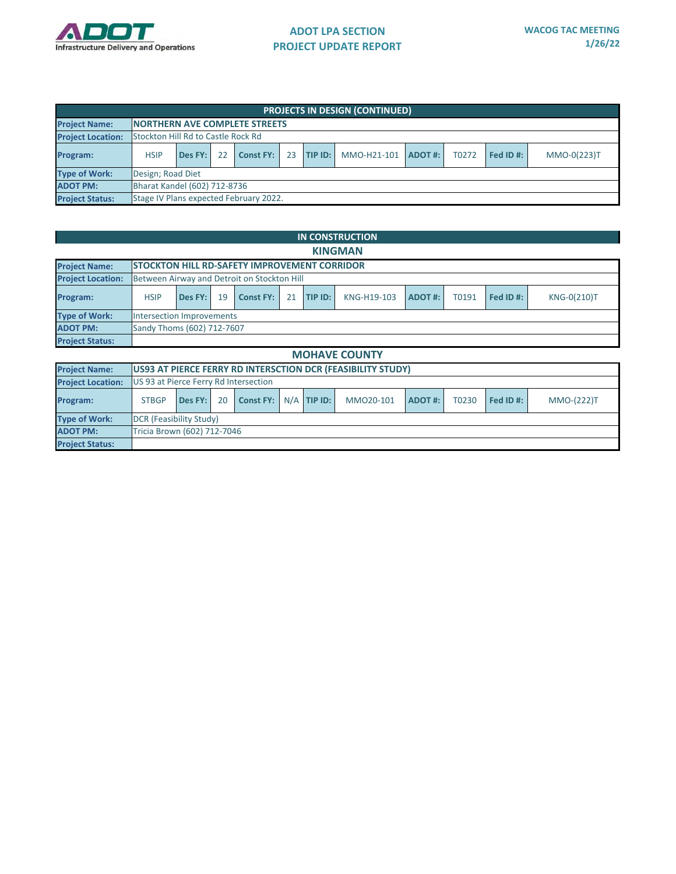

|                          | <b>PROJECTS IN DESIGN (CONTINUED)</b> |                                           |    |                                        |    |         |             |                |       |           |             |  |  |
|--------------------------|---------------------------------------|-------------------------------------------|----|----------------------------------------|----|---------|-------------|----------------|-------|-----------|-------------|--|--|
| <b>Project Name:</b>     |                                       | <b>INORTHERN AVE COMPLETE STREETS</b>     |    |                                        |    |         |             |                |       |           |             |  |  |
| <b>Project Location:</b> |                                       | <b>Stockton Hill Rd to Castle Rock Rd</b> |    |                                        |    |         |             |                |       |           |             |  |  |
| Program:                 | <b>HSIP</b>                           | Des FY:                                   | 22 | <b>Const FY:</b>                       | 23 | TIP ID: | MMO-H21-101 | <b>ADOT #:</b> | T0272 | Fed ID #: | MMO-0(223)T |  |  |
| <b>Type of Work:</b>     | Design; Road Diet                     |                                           |    |                                        |    |         |             |                |       |           |             |  |  |
| <b>ADOT PM:</b>          |                                       | Bharat Kandel (602) 712-8736              |    |                                        |    |         |             |                |       |           |             |  |  |
| <b>Project Status:</b>   |                                       |                                           |    | Stage IV Plans expected February 2022. |    |         |             |                |       |           |             |  |  |

|                          |                                       |                                                                                                                        |    |                  |     |         | <b>IN CONSTRUCTION</b>                                      |               |       |          |                   |  |  |  |  |
|--------------------------|---------------------------------------|------------------------------------------------------------------------------------------------------------------------|----|------------------|-----|---------|-------------------------------------------------------------|---------------|-------|----------|-------------------|--|--|--|--|
|                          | <b>KINGMAN</b>                        |                                                                                                                        |    |                  |     |         |                                                             |               |       |          |                   |  |  |  |  |
| <b>Project Name:</b>     |                                       | <b>STOCKTON HILL RD-SAFETY IMPROVEMENT CORRIDOR</b>                                                                    |    |                  |     |         |                                                             |               |       |          |                   |  |  |  |  |
| <b>Project Location:</b> |                                       | Between Airway and Detroit on Stockton Hill                                                                            |    |                  |     |         |                                                             |               |       |          |                   |  |  |  |  |
| Program:                 | <b>HSIP</b>                           | KNG-0(210)T<br>Des FY:<br>19<br>21<br>TIP ID:<br>KNG-H19-103<br>T0191<br>Fed ID#:<br><b>Const FY:</b><br><b>ADOT#:</b> |    |                  |     |         |                                                             |               |       |          |                   |  |  |  |  |
| <b>Type of Work:</b>     |                                       | Intersection Improvements                                                                                              |    |                  |     |         |                                                             |               |       |          |                   |  |  |  |  |
| <b>ADOT PM:</b>          | Sandy Thoms (602) 712-7607            |                                                                                                                        |    |                  |     |         |                                                             |               |       |          |                   |  |  |  |  |
| <b>Project Status:</b>   |                                       |                                                                                                                        |    |                  |     |         |                                                             |               |       |          |                   |  |  |  |  |
|                          |                                       |                                                                                                                        |    |                  |     |         | <b>MOHAVE COUNTY</b>                                        |               |       |          |                   |  |  |  |  |
| <b>Project Name:</b>     |                                       |                                                                                                                        |    |                  |     |         | US93 AT PIERCE FERRY RD INTERSCTION DCR (FEASIBILITY STUDY) |               |       |          |                   |  |  |  |  |
| <b>Project Location:</b> | US 93 at Pierce Ferry Rd Intersection |                                                                                                                        |    |                  |     |         |                                                             |               |       |          |                   |  |  |  |  |
| Program:                 | <b>STBGP</b>                          | Des FY:                                                                                                                | 20 | <b>Const FY:</b> | N/A | TIP ID: | MM020-101                                                   | <b>ADOT#:</b> | T0230 | Fed ID#: | <b>MMO-(222)T</b> |  |  |  |  |

| Program:               | SIBGP. |                             |  | $\vert$ Des FY: $\vert$ 20 $\vert$ Const FY: $\vert$ N/A $\vert$ HP ID: $\vert$ |  |  | MIVIOZO-101 <b>ADOI #:</b> |  |  | $10230$ red ID #: 1 | <b>MMO-(22</b> |  |  |  |  |
|------------------------|--------|-----------------------------|--|---------------------------------------------------------------------------------|--|--|----------------------------|--|--|---------------------|----------------|--|--|--|--|
| Type of Work:          |        | DCR (Feasibility Study)     |  |                                                                                 |  |  |                            |  |  |                     |                |  |  |  |  |
| <b>ADOT PM:</b>        |        | Tricia Brown (602) 712-7046 |  |                                                                                 |  |  |                            |  |  |                     |                |  |  |  |  |
| <b>Project Status:</b> |        |                             |  |                                                                                 |  |  |                            |  |  |                     |                |  |  |  |  |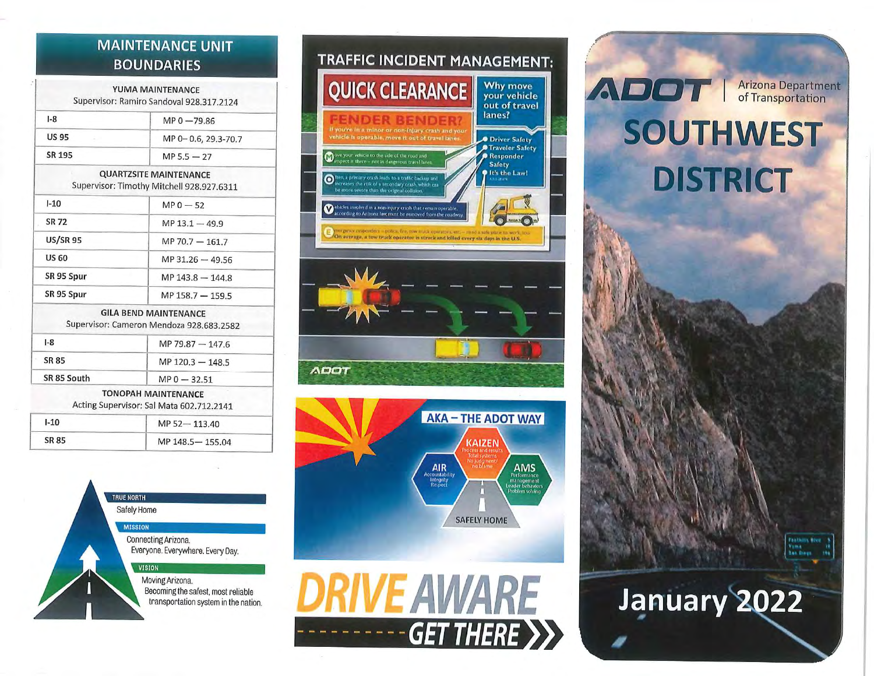## **MAINTENANCE UNIT BOUNDARIES**

|                 | YUMA MAINTENANCE<br>Supervisor: Ramiro Sandoval 928.317.2124               |  |
|-----------------|----------------------------------------------------------------------------|--|
| $1-8$           | $MP 0 - 79.86$                                                             |  |
| <b>US 95</b>    | MP 0-0.6, 29.3-70.7                                                        |  |
| SR 195          | $MP 5.5 - 27$                                                              |  |
|                 | <b>QUARTZSITE MAINTENANCE</b><br>Supervisor: Timothy Mitchell 928.927.6311 |  |
| $1 - 10$        | $MP0 - 52$                                                                 |  |
| <b>SR 72</b>    | $MP$ 13.1 $-$ 49.9                                                         |  |
| <b>US/SR 95</b> | MP 70.7 - 161.7                                                            |  |
| <b>US 60</b>    | MP 31.26 - 49.56                                                           |  |
| SR 95 Spur      | MP 143.8 - 144.8                                                           |  |
| SR 95 Spur      | MP 158.7 - 159.5                                                           |  |
|                 | <b>GILA BEND MAINTENANCE</b><br>Supervisor: Cameron Mendoza 928.683.2582   |  |
| $1-8$           | MP 79.87 - 147.6                                                           |  |
| <b>SR 85</b>    | MP 120.3 - 148.5                                                           |  |
| SR 85 South     | $MP 0 - 32.51$                                                             |  |
|                 | <b>TONOPAH MAINTENANCE</b>                                                 |  |

Acting Supervisor: Sal Mata 602,712.2141

| $1 - 10$ | MP 52-113.40    |  |
|----------|-----------------|--|
| SR 85    | MP 148.5-155.04 |  |











January 2022

**Vuma** 

**Law Brown** 199